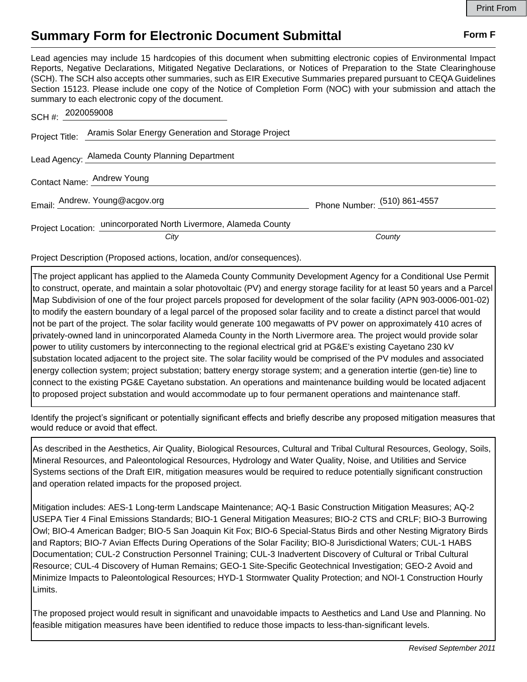## **Summary Form for Electronic Document Submittal Form F Form F**

Lead agencies may include 15 hardcopies of this document when submitting electronic copies of Environmental Impact Reports, Negative Declarations, Mitigated Negative Declarations, or Notices of Preparation to the State Clearinghouse (SCH). The SCH also accepts other summaries, such as EIR Executive Summaries prepared pursuant to CEQA Guidelines Section 15123. Please include one copy of the Notice of Completion Form (NOC) with your submission and attach the summary to each electronic copy of the document.

| SCH #: 2020059008                                                        |                              |
|--------------------------------------------------------------------------|------------------------------|
| Project Title: Aramis Solar Energy Generation and Storage Project        |                              |
| Lead Agency: Alameda County Planning Department                          |                              |
| Contact Name: Andrew Young                                               |                              |
| Email: Andrew. Young@acgov.org                                           | Phone Number: (510) 861-4557 |
| Project Location: unincorporated North Livermore, Alameda County<br>City | County                       |
|                                                                          |                              |

Project Description (Proposed actions, location, and/or consequences).

The project applicant has applied to the Alameda County Community Development Agency for a Conditional Use Permit to construct, operate, and maintain a solar photovoltaic (PV) and energy storage facility for at least 50 years and a Parcel Map Subdivision of one of the four project parcels proposed for development of the solar facility (APN 903-0006-001-02) to modify the eastern boundary of a legal parcel of the proposed solar facility and to create a distinct parcel that would not be part of the project. The solar facility would generate 100 megawatts of PV power on approximately 410 acres of privately-owned land in unincorporated Alameda County in the North Livermore area. The project would provide solar power to utility customers by interconnecting to the regional electrical grid at PG&E's existing Cayetano 230 kV substation located adjacent to the project site. The solar facility would be comprised of the PV modules and associated energy collection system; project substation; battery energy storage system; and a generation intertie (gen-tie) line to connect to the existing PG&E Cayetano substation. An operations and maintenance building would be located adjacent to proposed project substation and would accommodate up to four permanent operations and maintenance staff.

Identify the project's significant or potentially significant effects and briefly describe any proposed mitigation measures that would reduce or avoid that effect.

As described in the Aesthetics, Air Quality, Biological Resources, Cultural and Tribal Cultural Resources, Geology, Soils, Mineral Resources, and Paleontological Resources, Hydrology and Water Quality, Noise, and Utilities and Service Systems sections of the Draft EIR, mitigation measures would be required to reduce potentially significant construction and operation related impacts for the proposed project.

Mitigation includes: AES-1 Long-term Landscape Maintenance; AQ-1 Basic Construction Mitigation Measures; AQ-2 USEPA Tier 4 Final Emissions Standards; BIO-1 General Mitigation Measures; BIO-2 CTS and CRLF; BIO-3 Burrowing Owl; BIO-4 American Badger; BIO-5 San Joaquin Kit Fox; BIO-6 Special-Status Birds and other Nesting Migratory Birds and Raptors; BIO-7 Avian Effects During Operations of the Solar Facility; BIO-8 Jurisdictional Waters; CUL-1 HABS Documentation; CUL-2 Construction Personnel Training; CUL-3 Inadvertent Discovery of Cultural or Tribal Cultural Resource; CUL-4 Discovery of Human Remains; GEO-1 Site-Specific Geotechnical Investigation; GEO-2 Avoid and Minimize Impacts to Paleontological Resources; HYD-1 Stormwater Quality Protection; and NOI-1 Construction Hourly Limits.

The proposed project would result in significant and unavoidable impacts to Aesthetics and Land Use and Planning. No feasible mitigation measures have been identified to reduce those impacts to less-than-significant levels.